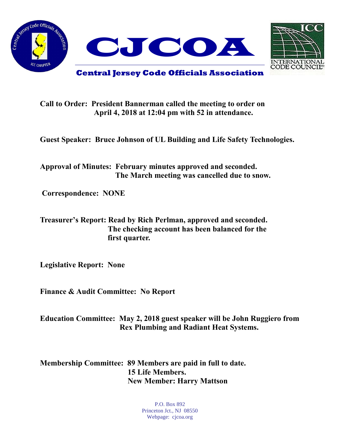



## **Call to Order: President Bannerman called the meeting to order on April 4, 2018 at 12:04 pm with 52 in attendance.**

**Guest Speaker: Bruce Johnson of UL Building and Life Safety Technologies.**

**Approval of Minutes: February minutes approved and seconded. The March meeting was cancelled due to snow.**

**Correspondence: NONE**

**Treasurer's Report: Read by Rich Perlman, approved and seconded. The checking account has been balanced for the first quarter.**

**Legislative Report: None**

**Finance & Audit Committee: No Report**

**Education Committee: May 2, 2018 guest speaker will be John Ruggiero from Rex Plumbing and Radiant Heat Systems.** 

**Membership Committee: 89 Members are paid in full to date. 15 Life Members. New Member: Harry Mattson** 

> P.O. Box 892 Princeton Jct., NJ 08550 Webpage: cjcoa.org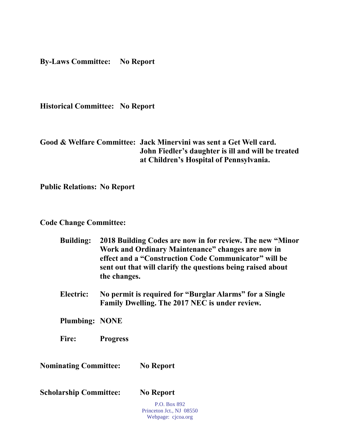**By-Laws Committee: No Report**

**Historical Committee: No Report**

## **Good & Welfare Committee: Jack Minervini was sent a Get Well card. John Fiedler's daughter is ill and will be treated at Children's Hospital of Pennsylvania.**

**Public Relations: No Report**

## **Code Change Committee:**

| <b>Building:</b>              | 2018 Building Codes are now in for review. The new "Minor"<br>Work and Ordinary Maintenance" changes are now in<br>effect and a "Construction Code Communicator" will be<br>sent out that will clarify the questions being raised about<br>the changes.<br>No permit is required for "Burglar Alarms" for a Single<br>Family Dwelling. The 2017 NEC is under review. |                                                                |
|-------------------------------|----------------------------------------------------------------------------------------------------------------------------------------------------------------------------------------------------------------------------------------------------------------------------------------------------------------------------------------------------------------------|----------------------------------------------------------------|
| Electric:                     |                                                                                                                                                                                                                                                                                                                                                                      |                                                                |
| <b>Plumbing: NONE</b>         |                                                                                                                                                                                                                                                                                                                                                                      |                                                                |
| Fire:                         | <b>Progress</b>                                                                                                                                                                                                                                                                                                                                                      |                                                                |
| <b>Nominating Committee:</b>  |                                                                                                                                                                                                                                                                                                                                                                      | <b>No Report</b>                                               |
| <b>Scholarship Committee:</b> |                                                                                                                                                                                                                                                                                                                                                                      | <b>No Report</b>                                               |
|                               |                                                                                                                                                                                                                                                                                                                                                                      | P.O. Box 892<br>Princeton Jct., NJ 08550<br>Webpage: cjcoa.org |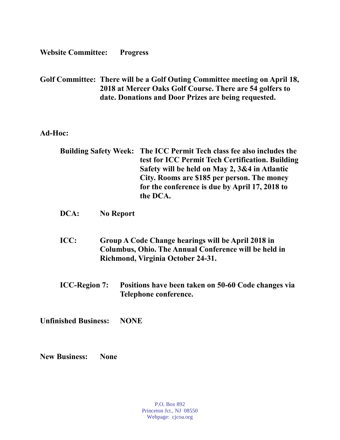**Website Committee: Progress** 

**Golf Committee: There will be a Golf Outing Committee meeting on April 18, 2018 at Mercer Oaks Golf Course. There are 54 golfers to date. Donations and Door Prizes are being requested.**

**Ad-Hoc:**

| <b>Building Safety Week:</b> | The ICC Permit Tech class fee also includes the<br>test for ICC Permit Tech Certification. Building<br>Safety will be held on May 2, 3&4 in Atlantic<br>City. Rooms are \$185 per person. The money<br>for the conference is due by April 17, 2018 to<br>the DCA. |  |
|------------------------------|-------------------------------------------------------------------------------------------------------------------------------------------------------------------------------------------------------------------------------------------------------------------|--|
| DCA:                         | <b>No Report</b>                                                                                                                                                                                                                                                  |  |
| ICC:                         | Group A Code Change hearings will be April 2018 in<br><b>Columbus, Ohio. The Annual Conference will be held in</b><br>Richmond, Virginia October 24-31.                                                                                                           |  |
| <b>ICC-Region 7:</b>         | Positions have been taken on 50-60 Code changes via<br>Telephone conference.                                                                                                                                                                                      |  |
| <b>Unfinished Business:</b>  | <b>NONE</b>                                                                                                                                                                                                                                                       |  |
|                              |                                                                                                                                                                                                                                                                   |  |

**New Business: None**